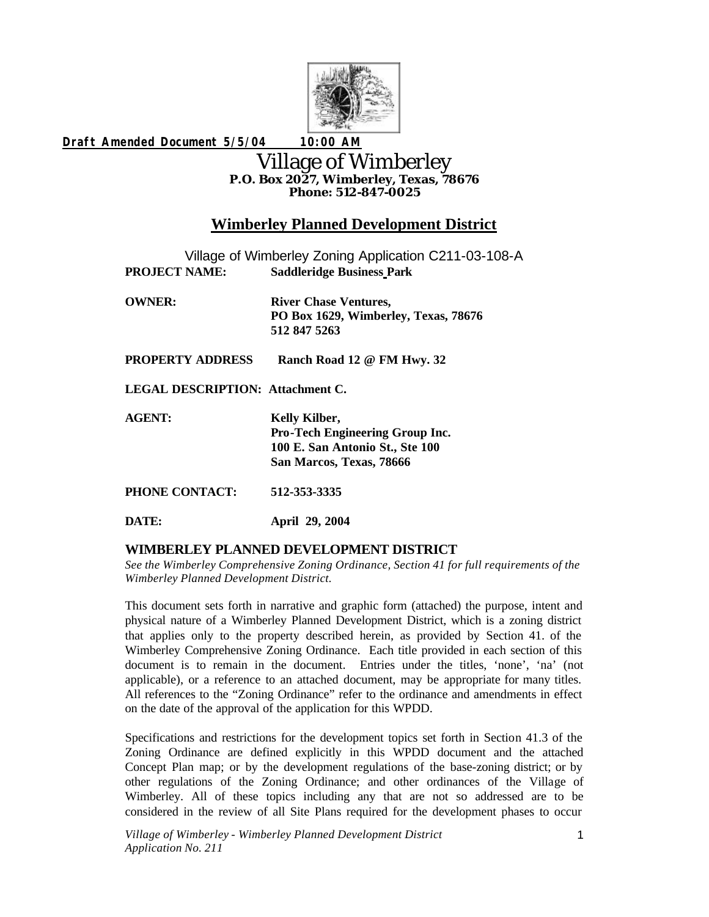

*Draft Amended Document 5/5/04 10:00 AM*

# Village of Wimberley **P.O. Box 2027, Wimberley, Texas, 78676 Phone: 512-847-0025**

# **Wimberley Planned Development District**

| Village of Wimberley Zoning Application C211-03-108-A |                                                                                                                 |
|-------------------------------------------------------|-----------------------------------------------------------------------------------------------------------------|
| <b>PROJECT NAME:</b>                                  | <b>Saddleridge Business Park</b>                                                                                |
| <b>OWNER:</b>                                         | <b>River Chase Ventures,</b><br>PO Box 1629, Wimberley, Texas, 78676<br>512 847 5263                            |
| <b>PROPERTY ADDRESS</b>                               | Ranch Road 12 @ FM Hwy. 32                                                                                      |
| <b>LEGAL DESCRIPTION: Attachment C.</b>               |                                                                                                                 |
| <b>AGENT:</b>                                         | Kelly Kilber,<br>Pro-Tech Engineering Group Inc.<br>100 E. San Antonio St., Ste 100<br>San Marcos, Texas, 78666 |
| PHONE CONTACT:                                        | 512-353-3335                                                                                                    |
| DATE:                                                 | April 29, 2004                                                                                                  |

## **WIMBERLEY PLANNED DEVELOPMENT DISTRICT**

*See the Wimberley Comprehensive Zoning Ordinance, Section 41 for full requirements of the Wimberley Planned Development District.*

This document sets forth in narrative and graphic form (attached) the purpose, intent and physical nature of a Wimberley Planned Development District, which is a zoning district that applies only to the property described herein, as provided by Section 41. of the Wimberley Comprehensive Zoning Ordinance. Each title provided in each section of this document is to remain in the document. Entries under the titles, 'none', 'na' (not applicable), or a reference to an attached document, may be appropriate for many titles. All references to the "Zoning Ordinance" refer to the ordinance and amendments in effect on the date of the approval of the application for this WPDD.

Specifications and restrictions for the development topics set forth in Section 41.3 of the Zoning Ordinance are defined explicitly in this WPDD document and the attached Concept Plan map; or by the development regulations of the base-zoning district; or by other regulations of the Zoning Ordinance; and other ordinances of the Village of Wimberley. All of these topics including any that are not so addressed are to be considered in the review of all Site Plans required for the development phases to occur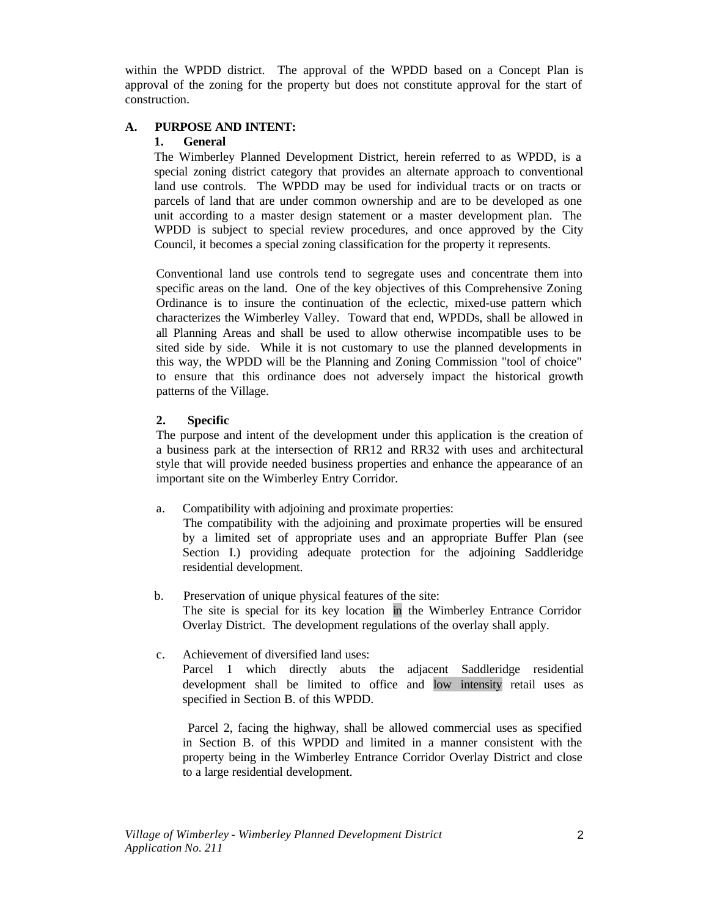within the WPDD district. The approval of the WPDD based on a Concept Plan is approval of the zoning for the property but does not constitute approval for the start of construction.

## **A. PURPOSE AND INTENT:**

#### **1. General**

The Wimberley Planned Development District, herein referred to as WPDD, is a special zoning district category that provides an alternate approach to conventional land use controls. The WPDD may be used for individual tracts or on tracts or parcels of land that are under common ownership and are to be developed as one unit according to a master design statement or a master development plan. The WPDD is subject to special review procedures, and once approved by the City Council, it becomes a special zoning classification for the property it represents.

Conventional land use controls tend to segregate uses and concentrate them into specific areas on the land. One of the key objectives of this Comprehensive Zoning Ordinance is to insure the continuation of the eclectic, mixed-use pattern which characterizes the Wimberley Valley. Toward that end, WPDDs, shall be allowed in all Planning Areas and shall be used to allow otherwise incompatible uses to be sited side by side. While it is not customary to use the planned developments in this way, the WPDD will be the Planning and Zoning Commission "tool of choice" to ensure that this ordinance does not adversely impact the historical growth patterns of the Village.

## **2. Specific**

The purpose and intent of the development under this application is the creation of a business park at the intersection of RR12 and RR32 with uses and architectural style that will provide needed business properties and enhance the appearance of an important site on the Wimberley Entry Corridor.

a. Compatibility with adjoining and proximate properties:

The compatibility with the adjoining and proximate properties will be ensured by a limited set of appropriate uses and an appropriate Buffer Plan (see Section I.) providing adequate protection for the adjoining Saddleridge residential development.

- b. Preservation of unique physical features of the site: The site is special for its key location in the Wimberley Entrance Corridor Overlay District. The development regulations of the overlay shall apply.
- c. Achievement of diversified land uses: Parcel 1 which directly abuts the adjacent Saddleridge residential development shall be limited to office and low intensity retail uses as specified in Section B. of this WPDD.

 Parcel 2, facing the highway, shall be allowed commercial uses as specified in Section B. of this WPDD and limited in a manner consistent with the property being in the Wimberley Entrance Corridor Overlay District and close to a large residential development.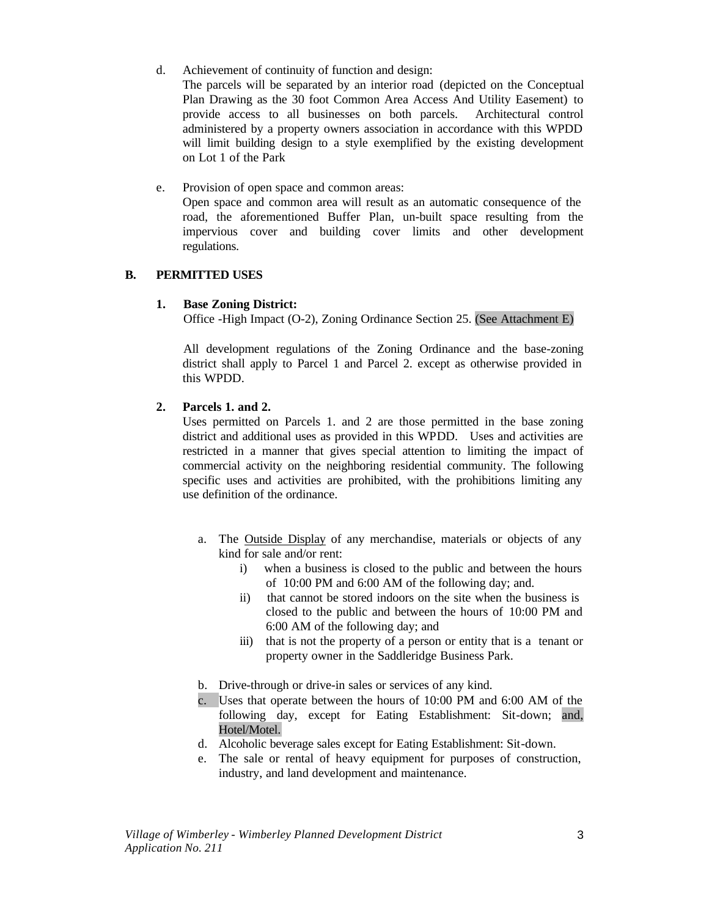d. Achievement of continuity of function and design:

The parcels will be separated by an interior road (depicted on the Conceptual Plan Drawing as the 30 foot Common Area Access And Utility Easement) to provide access to all businesses on both parcels. Architectural control administered by a property owners association in accordance with this WPDD will limit building design to a style exemplified by the existing development on Lot 1 of the Park

e. Provision of open space and common areas:

Open space and common area will result as an automatic consequence of the road, the aforementioned Buffer Plan, un-built space resulting from the impervious cover and building cover limits and other development regulations.

#### **B. PERMITTED USES**

#### **1. Base Zoning District:**

Office -High Impact (O-2), Zoning Ordinance Section 25. (See Attachment E)

All development regulations of the Zoning Ordinance and the base-zoning district shall apply to Parcel 1 and Parcel 2. except as otherwise provided in this WPDD.

#### **2. Parcels 1. and 2.**

Uses permitted on Parcels 1. and 2 are those permitted in the base zoning district and additional uses as provided in this WPDD. Uses and activities are restricted in a manner that gives special attention to limiting the impact of commercial activity on the neighboring residential community. The following specific uses and activities are prohibited, with the prohibitions limiting any use definition of the ordinance.

- a. The Outside Display of any merchandise, materials or objects of any kind for sale and/or rent:
	- i) when a business is closed to the public and between the hours of 10:00 PM and 6:00 AM of the following day; and.
	- ii) that cannot be stored indoors on the site when the business is closed to the public and between the hours of 10:00 PM and 6:00 AM of the following day; and
	- iii) that is not the property of a person or entity that is a tenant or property owner in the Saddleridge Business Park.
- b. Drive-through or drive-in sales or services of any kind.
- c. Uses that operate between the hours of 10:00 PM and 6:00 AM of the following day, except for Eating Establishment: Sit-down; and, Hotel/Motel.
- d. Alcoholic beverage sales except for Eating Establishment: Sit-down.
- e. The sale or rental of heavy equipment for purposes of construction, industry, and land development and maintenance.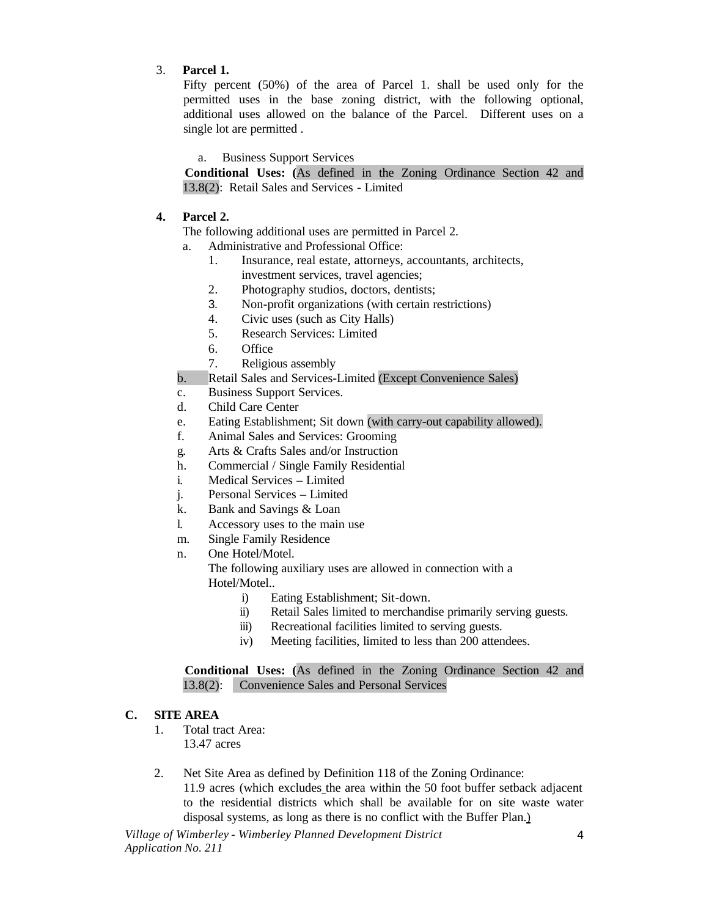## 3. **Parcel 1.**

Fifty percent (50%) of the area of Parcel 1. shall be used only for the permitted uses in the base zoning district, with the following optional, additional uses allowed on the balance of the Parcel. Different uses on a single lot are permitted .

a. Business Support Services

**Conditional Uses: (**As defined in the Zoning Ordinance Section 42 and 13.8(2): Retail Sales and Services - Limited

## **4. Parcel 2.**

The following additional uses are permitted in Parcel 2.

- a. Administrative and Professional Office:
	- 1. Insurance, real estate, attorneys, accountants, architects, investment services, travel agencies;
	- 2. Photography studios, doctors, dentists;
	- 3. Non-profit organizations (with certain restrictions)
	- 4. Civic uses (such as City Halls)
	- 5. Research Services: Limited
	- 6. Office
	- 7. Religious assembly
- b. Retail Sales and Services-Limited (Except Convenience Sales)
- c. Business Support Services.
- d. Child Care Center
- e. Eating Establishment; Sit down (with carry-out capability allowed).
- f. Animal Sales and Services: Grooming
- g. Arts & Crafts Sales and/or Instruction
- h. Commercial / Single Family Residential
- i. Medical Services Limited
- j. Personal Services Limited
- k. Bank and Savings & Loan
- l. Accessory uses to the main use
- m. Single Family Residence
- n. One Hotel/Motel.

The following auxiliary uses are allowed in connection with a Hotel/Motel..

- i) Eating Establishment; Sit-down.
- ii) Retail Sales limited to merchandise primarily serving guests.
- iii) Recreational facilities limited to serving guests.
- iv) Meeting facilities, limited to less than 200 attendees.

**Conditional Uses: (**As defined in the Zoning Ordinance Section 42 and 13.8(2): Convenience Sales and Personal Services

#### **C. SITE AREA**

- 1. Total tract Area: 13.47 acres
- 2. Net Site Area as defined by Definition 118 of the Zoning Ordinance: 11.9 acres (which excludes the area within the 50 foot buffer setback adjacent to the residential districts which shall be available for on site waste water disposal systems, as long as there is no conflict with the Buffer Plan.)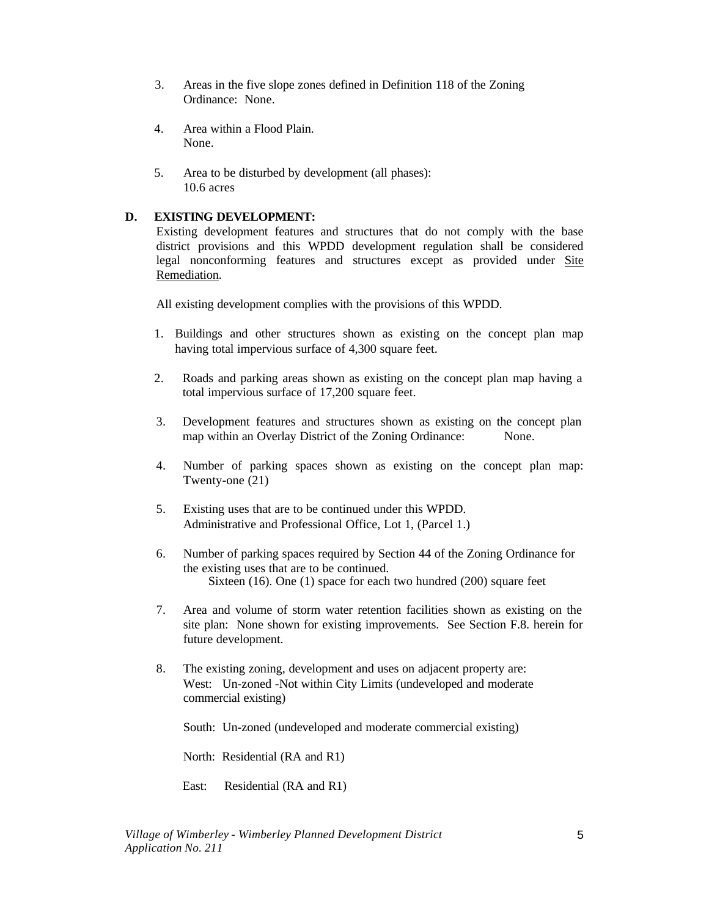- 3. Areas in the five slope zones defined in Definition 118 of the Zoning Ordinance: None.
- 4. Area within a Flood Plain. None.
- 5. Area to be disturbed by development (all phases): 10.6 acres

## **D. EXISTING DEVELOPMENT:**

Existing development features and structures that do not comply with the base district provisions and this WPDD development regulation shall be considered legal nonconforming features and structures except as provided under Site Remediation.

All existing development complies with the provisions of this WPDD.

- 1. Buildings and other structures shown as existing on the concept plan map having total impervious surface of 4,300 square feet.
- 2. Roads and parking areas shown as existing on the concept plan map having a total impervious surface of 17,200 square feet.
- 3. Development features and structures shown as existing on the concept plan map within an Overlay District of the Zoning Ordinance: None.
- 4. Number of parking spaces shown as existing on the concept plan map: Twenty-one (21)
- 5. Existing uses that are to be continued under this WPDD. Administrative and Professional Office, Lot 1, (Parcel 1.)
- 6. Number of parking spaces required by Section 44 of the Zoning Ordinance for the existing uses that are to be continued. Sixteen (16). One (1) space for each two hundred (200) square feet
- 7. Area and volume of storm water retention facilities shown as existing on the site plan: None shown for existing improvements. See Section F.8. herein for future development.
- 8. The existing zoning, development and uses on adjacent property are: West: Un-zoned -Not within City Limits (undeveloped and moderate commercial existing)

South: Un-zoned (undeveloped and moderate commercial existing)

North: Residential (RA and R1)

East: Residential (RA and R1)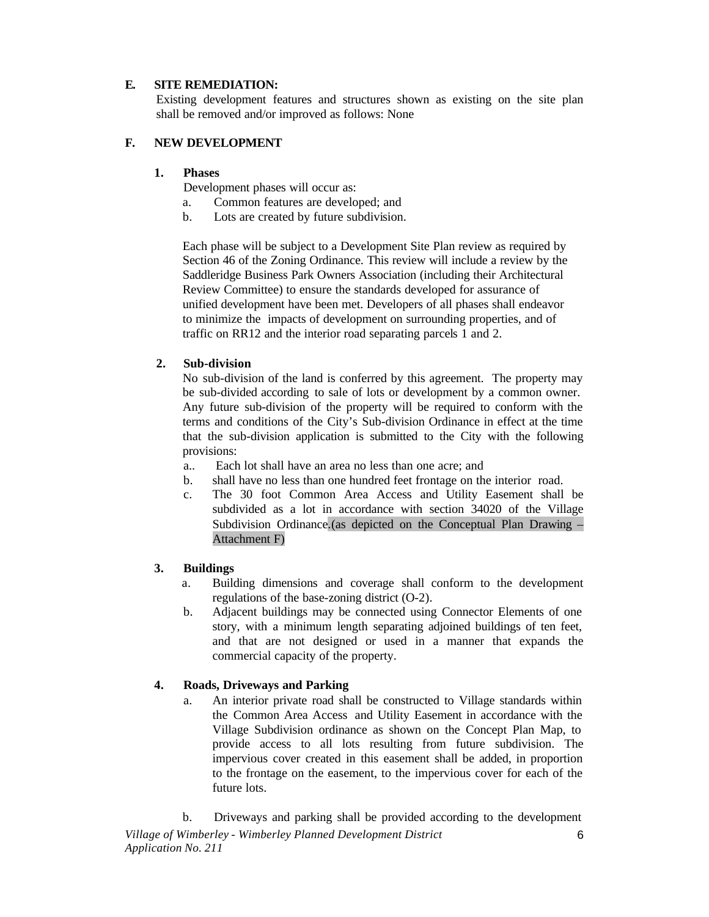#### **E. SITE REMEDIATION:**

Existing development features and structures shown as existing on the site plan shall be removed and/or improved as follows: None

#### **F. NEW DEVELOPMENT**

#### **1. Phases**

Development phases will occur as:

- a. Common features are developed; and
- b. Lots are created by future subdivision.

Each phase will be subject to a Development Site Plan review as required by Section 46 of the Zoning Ordinance. This review will include a review by the Saddleridge Business Park Owners Association (including their Architectural Review Committee) to ensure the standards developed for assurance of unified development have been met. Developers of all phases shall endeavor to minimize the impacts of development on surrounding properties, and of traffic on RR12 and the interior road separating parcels 1 and 2.

#### **2. Sub-division**

No sub-division of the land is conferred by this agreement. The property may be sub-divided according to sale of lots or development by a common owner. Any future sub-division of the property will be required to conform with the terms and conditions of the City's Sub-division Ordinance in effect at the time that the sub-division application is submitted to the City with the following provisions:

- a.. Each lot shall have an area no less than one acre; and
- b. shall have no less than one hundred feet frontage on the interior road.
- c. The 30 foot Common Area Access and Utility Easement shall be subdivided as a lot in accordance with section 34020 of the Village Subdivision Ordinance.(as depicted on the Conceptual Plan Drawing – Attachment F)

#### **3. Buildings**

- a. Building dimensions and coverage shall conform to the development regulations of the base-zoning district (O-2).
- b. Adjacent buildings may be connected using Connector Elements of one story, with a minimum length separating adjoined buildings of ten feet, and that are not designed or used in a manner that expands the commercial capacity of the property.

#### **4. Roads, Driveways and Parking**

a. An interior private road shall be constructed to Village standards within the Common Area Access and Utility Easement in accordance with the Village Subdivision ordinance as shown on the Concept Plan Map, to provide access to all lots resulting from future subdivision. The impervious cover created in this easement shall be added, in proportion to the frontage on the easement, to the impervious cover for each of the future lots.

*Village of Wimberley - Wimberley Planned Development District Application No. 211*  6 b. Driveways and parking shall be provided according to the development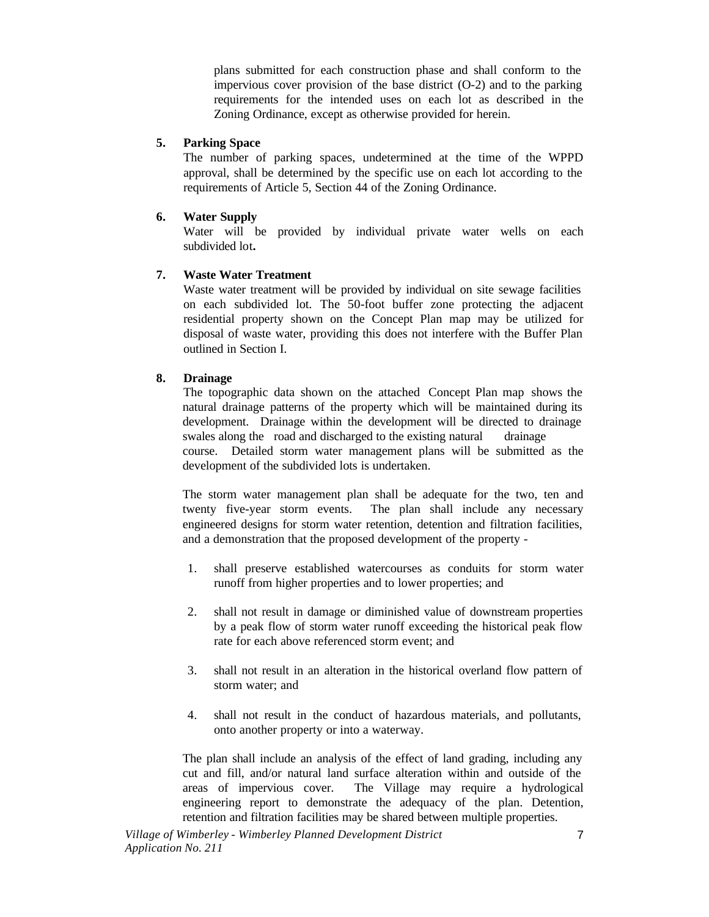plans submitted for each construction phase and shall conform to the impervious cover provision of the base district (O-2) and to the parking requirements for the intended uses on each lot as described in the Zoning Ordinance, except as otherwise provided for herein.

#### **5. Parking Space**

The number of parking spaces, undetermined at the time of the WPPD approval, shall be determined by the specific use on each lot according to the requirements of Article 5, Section 44 of the Zoning Ordinance.

#### **6. Water Supply**

Water will be provided by individual private water wells on each subdivided lot**.** 

#### **7. Waste Water Treatment**

Waste water treatment will be provided by individual on site sewage facilities on each subdivided lot. The 50-foot buffer zone protecting the adjacent residential property shown on the Concept Plan map may be utilized for disposal of waste water, providing this does not interfere with the Buffer Plan outlined in Section I.

#### **8. Drainage**

The topographic data shown on the attached Concept Plan map shows the natural drainage patterns of the property which will be maintained during its development. Drainage within the development will be directed to drainage swales along the road and discharged to the existing natural drainage course. Detailed storm water management plans will be submitted as the development of the subdivided lots is undertaken.

The storm water management plan shall be adequate for the two, ten and twenty five-year storm events. The plan shall include any necessary engineered designs for storm water retention, detention and filtration facilities, and a demonstration that the proposed development of the property -

- 1. shall preserve established watercourses as conduits for storm water runoff from higher properties and to lower properties; and
- 2. shall not result in damage or diminished value of downstream properties by a peak flow of storm water runoff exceeding the historical peak flow rate for each above referenced storm event; and
- 3. shall not result in an alteration in the historical overland flow pattern of storm water; and
- 4. shall not result in the conduct of hazardous materials, and pollutants, onto another property or into a waterway.

The plan shall include an analysis of the effect of land grading, including any cut and fill, and/or natural land surface alteration within and outside of the areas of impervious cover. The Village may require a hydrological engineering report to demonstrate the adequacy of the plan. Detention, retention and filtration facilities may be shared between multiple properties.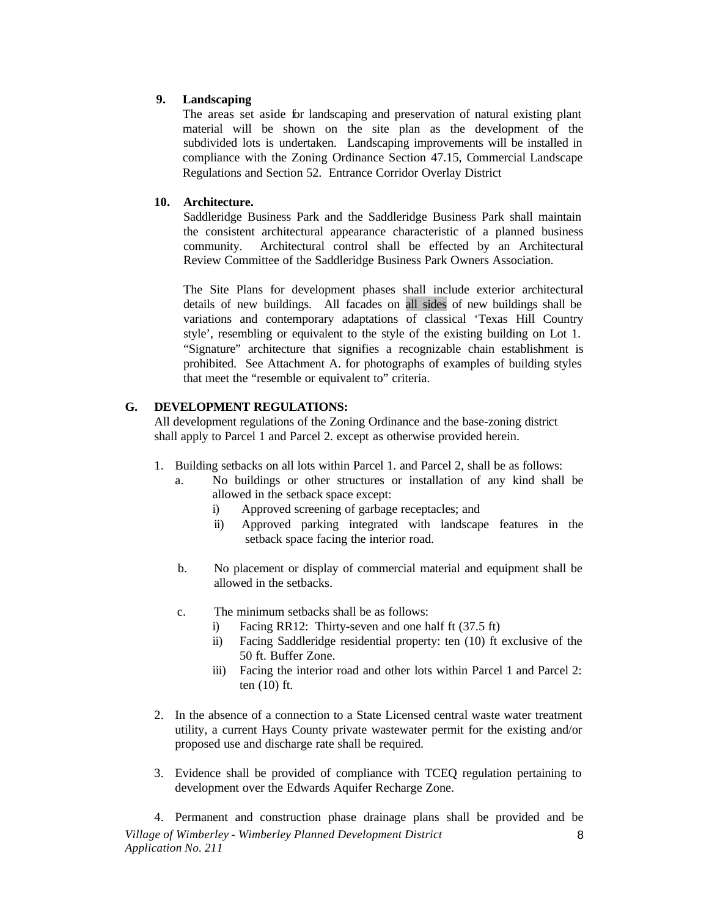## **9. Landscaping**

The areas set aside for landscaping and preservation of natural existing plant material will be shown on the site plan as the development of the subdivided lots is undertaken. Landscaping improvements will be installed in compliance with the Zoning Ordinance Section 47.15, Commercial Landscape Regulations and Section 52. Entrance Corridor Overlay District

## **10. Architecture.**

Saddleridge Business Park and the Saddleridge Business Park shall maintain the consistent architectural appearance characteristic of a planned business community. Architectural control shall be effected by an Architectural Review Committee of the Saddleridge Business Park Owners Association.

The Site Plans for development phases shall include exterior architectural details of new buildings. All facades on all sides of new buildings shall be variations and contemporary adaptations of classical 'Texas Hill Country style', resembling or equivalent to the style of the existing building on Lot 1. "Signature" architecture that signifies a recognizable chain establishment is prohibited. See Attachment A. for photographs of examples of building styles that meet the "resemble or equivalent to" criteria.

## **G. DEVELOPMENT REGULATIONS:**

All development regulations of the Zoning Ordinance and the base-zoning district shall apply to Parcel 1 and Parcel 2. except as otherwise provided herein.

- 1. Building setbacks on all lots within Parcel 1. and Parcel 2, shall be as follows:
	- a. No buildings or other structures or installation of any kind shall be allowed in the setback space except:
		- i) Approved screening of garbage receptacles; and
		- ii) Approved parking integrated with landscape features in the setback space facing the interior road.
	- b. No placement or display of commercial material and equipment shall be allowed in the setbacks.
	- c. The minimum setbacks shall be as follows:
		- i) Facing RR12: Thirty-seven and one half ft (37.5 ft)
		- ii) Facing Saddleridge residential property: ten (10) ft exclusive of the 50 ft. Buffer Zone.
		- iii) Facing the interior road and other lots within Parcel 1 and Parcel 2: ten (10) ft.
- 2. In the absence of a connection to a State Licensed central waste water treatment utility, a current Hays County private wastewater permit for the existing and/or proposed use and discharge rate shall be required.
- 3. Evidence shall be provided of compliance with TCEQ regulation pertaining to development over the Edwards Aquifer Recharge Zone.

*Village of Wimberley - Wimberley Planned Development District Application No. 211*  8 4. Permanent and construction phase drainage plans shall be provided and be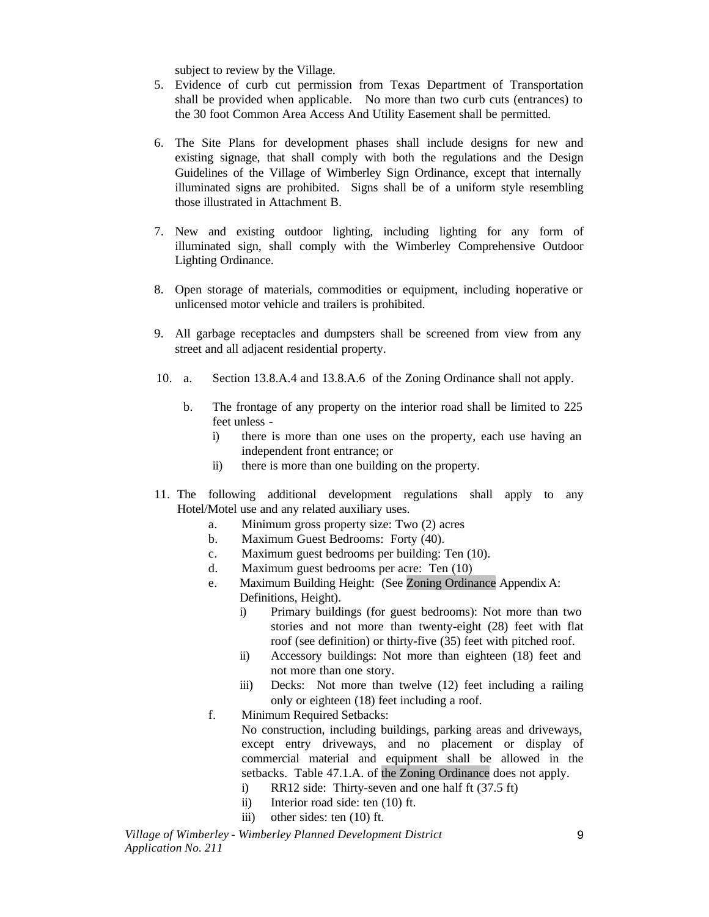subject to review by the Village.

- 5. Evidence of curb cut permission from Texas Department of Transportation shall be provided when applicable. No more than two curb cuts (entrances) to the 30 foot Common Area Access And Utility Easement shall be permitted.
- 6. The Site Plans for development phases shall include designs for new and existing signage, that shall comply with both the regulations and the Design Guidelines of the Village of Wimberley Sign Ordinance, except that internally illuminated signs are prohibited. Signs shall be of a uniform style resembling those illustrated in Attachment B.
- 7. New and existing outdoor lighting, including lighting for any form of illuminated sign, shall comply with the Wimberley Comprehensive Outdoor Lighting Ordinance.
- 8. Open storage of materials, commodities or equipment, including inoperative or unlicensed motor vehicle and trailers is prohibited.
- 9. All garbage receptacles and dumpsters shall be screened from view from any street and all adjacent residential property.
- 10. a. Section 13.8.A.4 and 13.8.A.6 of the Zoning Ordinance shall not apply.
	- b. The frontage of any property on the interior road shall be limited to 225 feet unless
		- i) there is more than one uses on the property, each use having an independent front entrance; or
		- ii) there is more than one building on the property.
- 11. The following additional development regulations shall apply to any Hotel/Motel use and any related auxiliary uses.
	- a. Minimum gross property size: Two (2) acres
	- b. Maximum Guest Bedrooms: Forty (40).
	- c. Maximum guest bedrooms per building: Ten (10).
	- d. Maximum guest bedrooms per acre: Ten (10)
	- e. Maximum Building Height: (See Zoning Ordinance Appendix A: Definitions, Height).
		- i) Primary buildings (for guest bedrooms): Not more than two stories and not more than twenty-eight (28) feet with flat roof (see definition) or thirty-five (35) feet with pitched roof.
		- ii) Accessory buildings: Not more than eighteen (18) feet and not more than one story.
		- iii) Decks: Not more than twelve (12) feet including a railing only or eighteen (18) feet including a roof.
	- f. Minimum Required Setbacks: No construction, including buildings, parking areas and driveways, except entry driveways, and no placement or display of commercial material and equipment shall be allowed in the setbacks. Table 47.1.A. of the Zoning Ordinance does not apply.
		- i) RR12 side: Thirty-seven and one half ft (37.5 ft)
		- ii) Interior road side: ten (10) ft.
		- iii) other sides: ten (10) ft.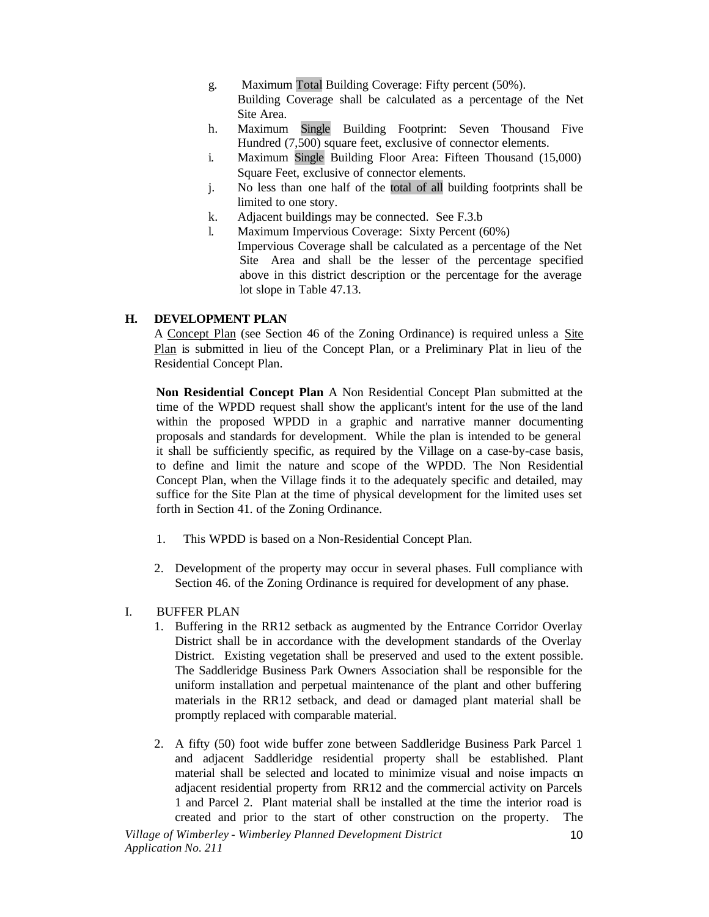- g. Maximum Total Building Coverage: Fifty percent (50%). Building Coverage shall be calculated as a percentage of the Net Site Area.
- h. Maximum Single Building Footprint: Seven Thousand Five Hundred (7,500) square feet, exclusive of connector elements.
- i. Maximum Single Building Floor Area: Fifteen Thousand (15,000) Square Feet, exclusive of connector elements.
- j. No less than one half of the total of all building footprints shall be limited to one story.
- k. Adjacent buildings may be connected. See F.3.b
- l. Maximum Impervious Coverage: Sixty Percent (60%) Impervious Coverage shall be calculated as a percentage of the Net Site Area and shall be the lesser of the percentage specified above in this district description or the percentage for the average lot slope in Table 47.13.

## **H. DEVELOPMENT PLAN**

A Concept Plan (see Section 46 of the Zoning Ordinance) is required unless a Site Plan is submitted in lieu of the Concept Plan, or a Preliminary Plat in lieu of the Residential Concept Plan.

**Non Residential Concept Plan** A Non Residential Concept Plan submitted at the time of the WPDD request shall show the applicant's intent for the use of the land within the proposed WPDD in a graphic and narrative manner documenting proposals and standards for development. While the plan is intended to be general it shall be sufficiently specific, as required by the Village on a case-by-case basis, to define and limit the nature and scope of the WPDD. The Non Residential Concept Plan, when the Village finds it to the adequately specific and detailed, may suffice for the Site Plan at the time of physical development for the limited uses set forth in Section 41. of the Zoning Ordinance.

- 1. This WPDD is based on a Non-Residential Concept Plan.
- 2. Development of the property may occur in several phases. Full compliance with Section 46. of the Zoning Ordinance is required for development of any phase.

## I. BUFFER PLAN

- 1. Buffering in the RR12 setback as augmented by the Entrance Corridor Overlay District shall be in accordance with the development standards of the Overlay District. Existing vegetation shall be preserved and used to the extent possible. The Saddleridge Business Park Owners Association shall be responsible for the uniform installation and perpetual maintenance of the plant and other buffering materials in the RR12 setback, and dead or damaged plant material shall be promptly replaced with comparable material.
- 2. A fifty (50) foot wide buffer zone between Saddleridge Business Park Parcel 1 and adjacent Saddleridge residential property shall be established. Plant material shall be selected and located to minimize visual and noise impacts on adjacent residential property from RR12 and the commercial activity on Parcels 1 and Parcel 2. Plant material shall be installed at the time the interior road is created and prior to the start of other construction on the property. The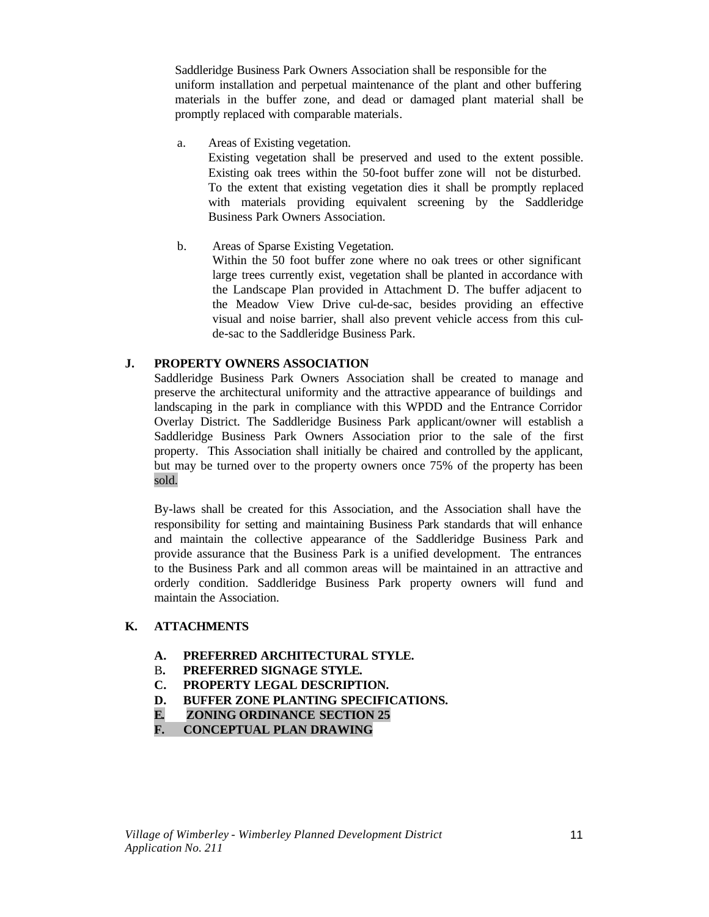Saddleridge Business Park Owners Association shall be responsible for the uniform installation and perpetual maintenance of the plant and other buffering materials in the buffer zone, and dead or damaged plant material shall be promptly replaced with comparable materials.

a. Areas of Existing vegetation.

Existing vegetation shall be preserved and used to the extent possible. Existing oak trees within the 50-foot buffer zone will not be disturbed. To the extent that existing vegetation dies it shall be promptly replaced with materials providing equivalent screening by the Saddleridge Business Park Owners Association.

b. Areas of Sparse Existing Vegetation.

Within the 50 foot buffer zone where no oak trees or other significant large trees currently exist, vegetation shall be planted in accordance with the Landscape Plan provided in Attachment D. The buffer adjacent to the Meadow View Drive cul-de-sac, besides providing an effective visual and noise barrier, shall also prevent vehicle access from this culde-sac to the Saddleridge Business Park.

#### **J. PROPERTY OWNERS ASSOCIATION**

Saddleridge Business Park Owners Association shall be created to manage and preserve the architectural uniformity and the attractive appearance of buildings and landscaping in the park in compliance with this WPDD and the Entrance Corridor Overlay District. The Saddleridge Business Park applicant/owner will establish a Saddleridge Business Park Owners Association prior to the sale of the first property. This Association shall initially be chaired and controlled by the applicant, but may be turned over to the property owners once 75% of the property has been sold.

By-laws shall be created for this Association, and the Association shall have the responsibility for setting and maintaining Business Park standards that will enhance and maintain the collective appearance of the Saddleridge Business Park and provide assurance that the Business Park is a unified development. The entrances to the Business Park and all common areas will be maintained in an attractive and orderly condition. Saddleridge Business Park property owners will fund and maintain the Association.

## **K. ATTACHMENTS**

- **A. PREFERRED ARCHITECTURAL STYLE.**
- B**. PREFERRED SIGNAGE STYLE.**
- **C. PROPERTY LEGAL DESCRIPTION.**
- **D. BUFFER ZONE PLANTING SPECIFICATIONS.**
- **E. ZONING ORDINANCE SECTION 25**
- **F. CONCEPTUAL PLAN DRAWING**